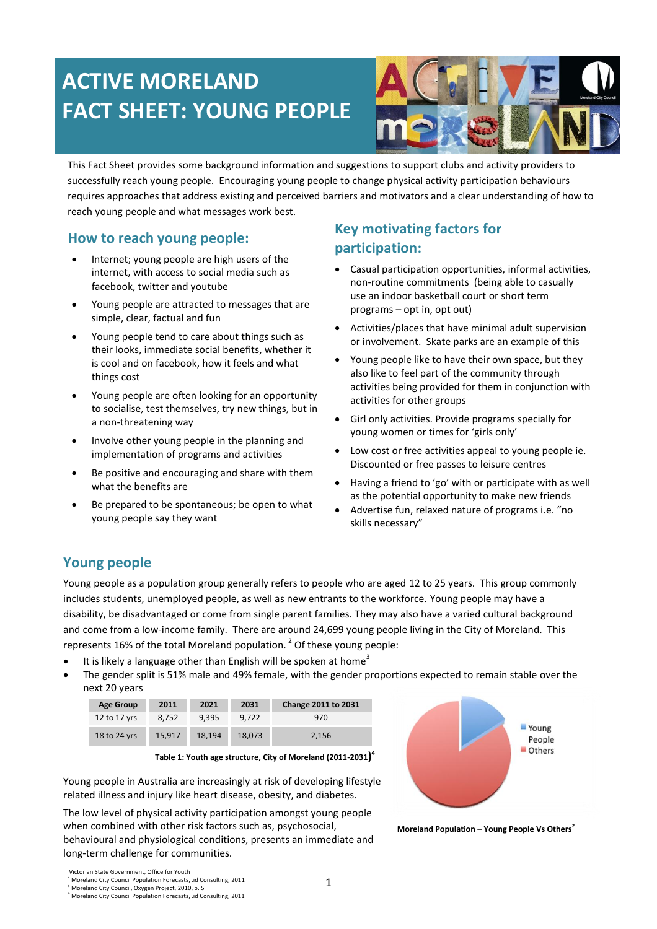# **ACTIVE MORELAND FACT SHEET: YOUNG PEOPLE**



This Fact Sheet provides some background information and suggestions to support clubs and activity providers to successfully reach young people. Encouraging young people to change physical activity participation behaviours requires approaches that address existing and perceived barriers and motivators and a clear understanding of how to reach young people and what messages work best.

## **How to reach young people:**

- Internet; young people are high users of the internet, with access to social media such as facebook, twitter and youtube
- Young people are attracted to messages that are simple, clear, factual and fun
- Young people tend to care about things such as their looks, immediate social benefits, whether it is cool and on facebook, how it feels and what things cost
- Young people are often looking for an opportunity to socialise, test themselves, try new things, but in a non-threatening way
- Involve other young people in the planning and implementation of programs and activities
- Be positive and encouraging and share with them what the benefits are
- Be prepared to be spontaneous; be open to what young people say they want

# **Key motivating factors for participation:**

- Casual participation opportunities, informal activities, non-routine commitments (being able to casually use an indoor basketball court or short term programs – opt in, opt out)
- Activities/places that have minimal adult supervision or involvement. Skate parks are an example of this
- Young people like to have their own space, but they also like to feel part of the community through activities being provided for them in conjunction with activities for other groups
- Girl only activities. Provide programs specially for young women or times for 'girls only'
- Low cost or free activities appeal to young people ie. Discounted or free passes to leisure centres
- Having a friend to 'go' with or participate with as well as the potential opportunity to make new friends
- Advertise fun, relaxed nature of programs i.e. "no skills necessary"

# **Young people**

Young people as a population group generally refers to people who are aged 12 to 25 years. This group commonly includes students, unemployed people, as well as new entrants to the workforce. Young people may have a disability, be disadvantaged or come from single parent families. They may also have a varied cultural background and come from a low-income family. There are around 24,699 young people living in the City of Moreland. This represents 16% of the total Moreland population.<sup>2</sup> Of these young people:

- It is likely a language other than English will be spoken at home<sup>3</sup>
- The gender split is 51% male and 49% female, with the gender proportions expected to remain stable over the next 20 years

| <b>Age Group</b> | 2011   | 2021   | 2031   | <b>Change 2011 to 2031</b> |
|------------------|--------|--------|--------|----------------------------|
| 12 to 17 yrs     | 8.752  | 9,395  | 9.722  | 970                        |
| 18 to 24 yrs     | 15,917 | 18.194 | 18,073 | 2,156                      |

**Table 1: Youth age structure, City of Moreland (2011-2031) 4**

Young people in Australia are increasingly at risk of developing lifestyle related illness and injury like heart disease, obesity, and diabetes.

The low level of physical activity participation amongst young people when combined with other risk factors such as, psychosocial, behavioural and physiological conditions, presents an immediate and long-term challenge for communities.



**Moreland Population – Young People Vs Others<sup>2</sup>**

Victorian State Government, Office for Youth

<sup>2</sup> Moreland City Council Population Forecasts, .id Consulting, 2011 <sup>3</sup> Moreland City Council, Oxygen Project, 2010, p. 5

<sup>4</sup> Moreland City Council Population Forecasts, .id Consulting, 2011